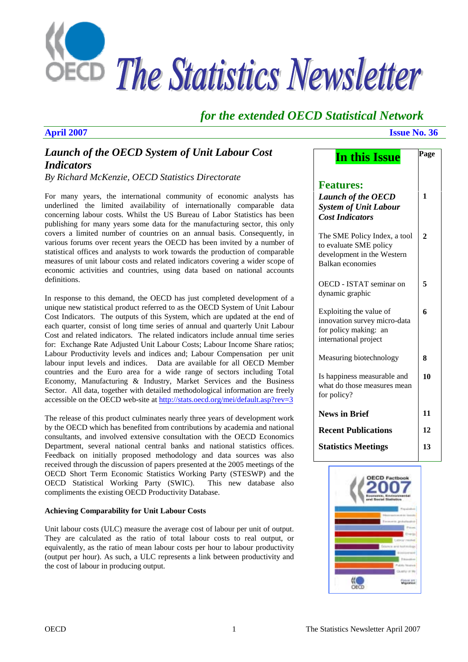

# *for the extended OECD Statistical Network*

# *Launch of the OECD System of Unit Labour Cost Indicators*

*By Richard McKenzie, OECD Statistics Directorate* 

For many years, the international community of economic analysts has underlined the limited availability of internationally comparable data concerning labour costs. Whilst the US Bureau of Labor Statistics has been publishing for many years some data for the manufacturing sector, this only covers a limited number of countries on an annual basis. Consequently, in various forums over recent years the OECD has been invited by a number of statistical offices and analysts to work towards the production of comparable measures of unit labour costs and related indicators covering a wider scope of economic activities and countries, using data based on national accounts definitions.

In response to this demand, the OECD has just completed development of a unique new statistical product referred to as the OECD System of Unit Labour Cost Indicators. The outputs of this System, which are updated at the end of each quarter, consist of long time series of annual and quarterly Unit Labour Cost and related indicators. The related indicators include annual time series for: Exchange Rate Adjusted Unit Labour Costs; Labour Income Share ratios; Labour Productivity levels and indices and; Labour Compensation per unit labour input levels and indices. Data are available for all OECD Member countries and the Euro area for a wide range of sectors including Total Economy, Manufacturing & Industry, Market Services and the Business Sector. All data, together with detailed methodological information are freely accessible on the OECD web-site at http://stats.oecd.org/mei/default.asp?rev=3

The release of this product culminates nearly three years of development work by the OECD which has benefited from contributions by academia and national consultants, and involved extensive consultation with the OECD Economics Department, several national central banks and national statistics offices. Feedback on initially proposed methodology and data sources was also received through the discussion of papers presented at the 2005 meetings of the OECD Short Term Economic Statistics Working Party (STESWP) and the OECD Statistical Working Party (SWIC). This new database also compliments the existing OECD Productivity Database.

### **Achieving Comparability for Unit Labour Costs**

Unit labour costs (ULC) measure the average cost of labour per unit of output. They are calculated as the ratio of total labour costs to real output, or equivalently, as the ratio of mean labour costs per hour to labour productivity (output per hour). As such, a ULC represents a link between productivity and the cost of labour in producing output.

### **April 2007 Issue No. 36**

| In this Issue                                                                                             | Page           |
|-----------------------------------------------------------------------------------------------------------|----------------|
| <b>Features:</b><br><b>Launch of the OECD</b><br><b>System of Unit Labour</b><br><b>Cost Indicators</b>   | 1              |
| The SME Policy Index, a tool<br>to evaluate SME policy<br>development in the Western<br>Balkan economies  | $\overline{2}$ |
| OECD - ISTAT seminar on<br>dynamic graphic                                                                | 5              |
| Exploiting the value of<br>innovation survey micro-data<br>for policy making: an<br>international project | 6              |
| Measuring biotechnology                                                                                   | 8              |
| Is happiness measurable and<br>what do those measures mean<br>for policy?                                 | 10             |
| <b>News in Brief</b>                                                                                      | 11             |
| <b>Recent Publications</b>                                                                                | 12             |
| <b>Statistics Meetings</b>                                                                                | 13             |

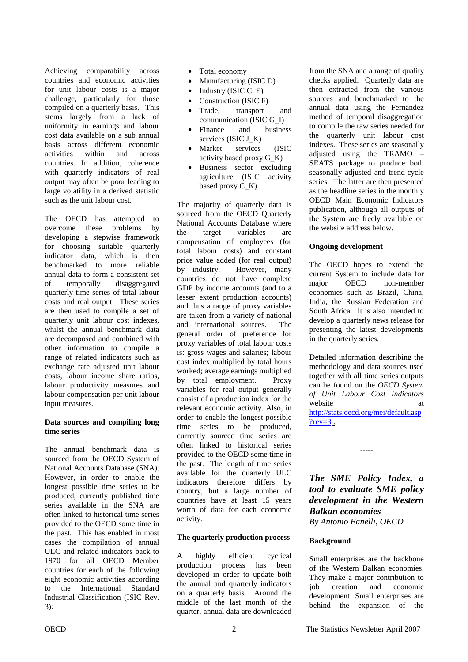<span id="page-1-0"></span>Achieving comparability across countries and economic activities for unit labour costs is a major challenge, particularly for those compiled on a quarterly basis. This stems largely from a lack of uniformity in earnings and labour cost data available on a sub annual basis across different economic activities within and across countries. In addition, coherence with quarterly indicators of real output may often be poor leading to large volatility in a derived statistic such as the unit labour cost.

The OECD has attempted to overcome these problems by developing a stepwise framework for choosing suitable quarterly indicator data, which is then benchmarked to more reliable annual data to form a consistent set of temporally disaggregated quarterly time series of total labour costs and real output. These series are then used to compile a set of quarterly unit labour cost indexes, whilst the annual benchmark data are decomposed and combined with other information to compile a range of related indicators such as exchange rate adjusted unit labour costs, labour income share ratios, labour productivity measures and labour compensation per unit labour input measures.

#### **Data sources and compiling long time series**

The annual benchmark data is sourced from the OECD System of National Accounts Database (SNA). However, in order to enable the longest possible time series to be produced, currently published time series available in the SNA are often linked to historical time series provided to the OECD some time in the past. This has enabled in most cases the compilation of annual ULC and related indicators back to 1970 for all OECD Member countries for each of the following eight economic activities according to the International Standard Industrial Classification (ISIC Rev. 3):

- Total economy
- Manufacturing (ISIC D)
- Industry (ISIC C\_E)
- Construction (ISIC F)
- Trade, transport and communication (ISIC G\_I)
- Finance and business services (ISIC J\_K)
- Market services (ISIC activity based proxy G\_K)
- Business sector excluding agriculture (ISIC activity based proxy  $C_K$

The majority of quarterly data is sourced from the OECD Quarterly National Accounts Database where the target variables are compensation of employees (for total labour costs) and constant price value added (for real output) by industry. However, many countries do not have complete GDP by income accounts (and to a lesser extent production accounts) and thus a range of proxy variables are taken from a variety of national and international sources. The general order of preference for proxy variables of total labour costs is: gross wages and salaries; labour cost index multiplied by total hours worked; average earnings multiplied by total employment. Proxy variables for real output generally consist of a production index for the relevant economic activity. Also, in order to enable the longest possible time series to be produced, currently sourced time series are often linked to historical series provided to the OECD some time in the past. The length of time series available for the quarterly ULC indicators therefore differs by country, but a large number of countries have at least 15 years worth of data for each economic activity.

# **The quarterly production process**

A highly efficient cyclical production process has been developed in order to update both the annual and quarterly indicators on a quarterly basis. Around the middle of the last month of the quarter, annual data are downloaded

from the SNA and a range of quality checks applied. Quarterly data are then extracted from the various sources and benchmarked to the annual data using the Fernández method of temporal disaggregation to compile the raw series needed for the quarterly unit labour cost indexes. These series are seasonally adjusted using the TRAMO – SEATS package to produce both seasonally adjusted and trend-cycle series. The latter are then presented as the headline series in the monthly OECD Main Economic Indicators publication, although all outputs of the System are freely available on the website address below.

#### **Ongoing development**

The OECD hopes to extend the current System to include data for major OECD non-member economies such as Brazil, China, India, the Russian Federation and South Africa. It is also intended to develop a quarterly news release for presenting the latest developments in the quarterly series.

Detailed information describing the methodology and data sources used together with all time series outputs can be found on the *OECD System of Unit Labour Cost Indicators* website at a state at a state at a state at a state at a state at a state at a state at a state at a state at  $\alpha$ [http://stats.oecd.org/mei/default.asp](http://stats.oecd.org/mei/default.asp?rev=3)  $?rev=3$ .

*The SME Policy Index, a tool to evaluate SME policy development in the Western Balkan economies By Antonio Fanelli, OECD* 

-----

#### **Background**

Small enterprises are the backbone of the Western Balkan economies. They make a major contribution to job creation and economic development. Small enterprises are behind the expansion of the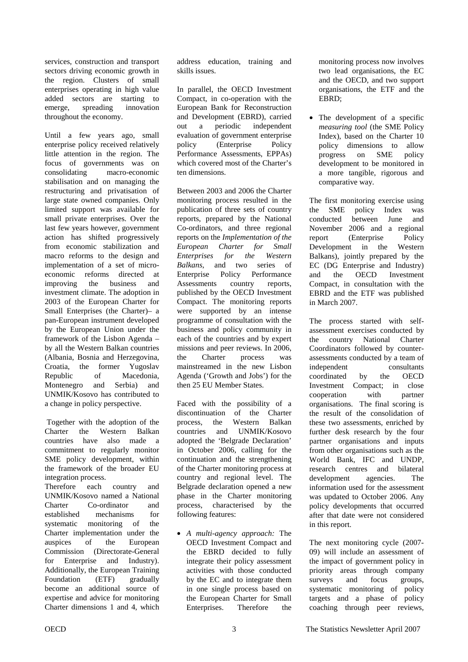services, construction and transport sectors driving economic growth in the region. Clusters of small enterprises operating in high value added sectors are starting to emerge, spreading innovation throughout the economy.

Until a few years ago, small enterprise policy received relatively little attention in the region. The focus of governments was on consolidating macro-economic stabilisation and on managing the restructuring and privatisation of large state owned companies. Only limited support was available for small private enterprises. Over the last few years however, government action has shifted progressively from economic stabilization and macro reforms to the design and implementation of a set of microeconomic reforms directed at improving the business and investment climate. The adoption in 2003 of the European Charter for Small Enterprises (the Charter)– a pan-European instrument developed by the European Union under the framework of the Lisbon Agenda – by all the Western Balkan countries (Albania, Bosnia and Herzegovina, Croatia, the former Yugoslav Republic of Macedonia, Montenegro and Serbia) and UNMIK/Kosovo has contributed to a change in policy perspective.

 Together with the adoption of the Charter the Western Balkan countries have also made a commitment to regularly monitor SME policy development, within the framework of the broader EU integration process. Therefore each country and UNMIK/Kosovo named a National Charter Co-ordinator and established mechanisms for systematic monitoring of the

Charter implementation under the auspices of the European Commission (Directorate-General for Enterprise and Industry). Additionally, the European Training Foundation (ETF) gradually become an additional source of expertise and advice for monitoring Charter dimensions 1 and 4, which

address education, training and skills issues.

In parallel, the OECD Investment Compact, in co-operation with the European Bank for Reconstruction and Development (EBRD), carried out a periodic independent evaluation of government enterprise policy (Enterprise Policy Performance Assessments, EPPAs) which covered most of the Charter's ten dimensions.

Between 2003 and 2006 the Charter monitoring process resulted in the publication of three sets of country reports, prepared by the National Co-ordinators, and three regional reports on the *Implementation of the European Charter for Small Enterprises for the Western Balkans*, and two series of Enterprise Policy Performance Assessments country reports, published by the OECD Investment Compact. The monitoring reports were supported by an intense programme of consultation with the business and policy community in each of the countries and by expert missions and peer reviews. In 2006, the Charter process was mainstreamed in the new Lisbon Agenda ('Growth and Jobs') for the then 25 EU Member States.

Faced with the possibility of a discontinuation of the Charter process, the Western Balkan countries and UNMIK/Kosovo adopted the 'Belgrade Declaration' in October 2006, calling for the continuation and the strengthening of the Charter monitoring process at country and regional level. The Belgrade declaration opened a new phase in the Charter monitoring process, characterised by the following features:

• *A multi-agency approach:* The OECD Investment Compact and the EBRD decided to fully integrate their policy assessment activities with those conducted by the EC and to integrate them in one single process based on the European Charter for Small Enterprises. Therefore the

monitoring process now involves two lead organisations, the EC and the OECD, and two support organisations, the ETF and the EBRD;

• The development of a specific *measuring tool* (the SME Policy Index), based on the Charter 10 policy dimensions to allow progress on SME policy development to be monitored in a more tangible, rigorous and comparative way.

The first monitoring exercise using the SME policy Index was conducted between June and November 2006 and a regional report (Enterprise Policy Development in the Western Balkans), jointly prepared by the EC (DG Enterprise and Industry) and the OECD Investment Compact, in consultation with the EBRD and the ETF was published in March 2007.

The process started with selfassessment exercises conducted by the country National Charter Coordinators followed by counterassessments conducted by a team of independent consultants coordinated by the OECD Investment Compact; in close cooperation with partner organisations. The final scoring is the result of the consolidation of these two assessments, enriched by further desk research by the four partner organisations and inputs from other organisations such as the World Bank, IFC and UNDP, research centres and bilateral development agencies. The information used for the assessment was updated to October 2006. Any policy developments that occurred after that date were not considered in this report.

The next monitoring cycle (2007- 09) will include an assessment of the impact of government policy in priority areas through company surveys and focus groups, systematic monitoring of policy targets and a phase of policy coaching through peer reviews,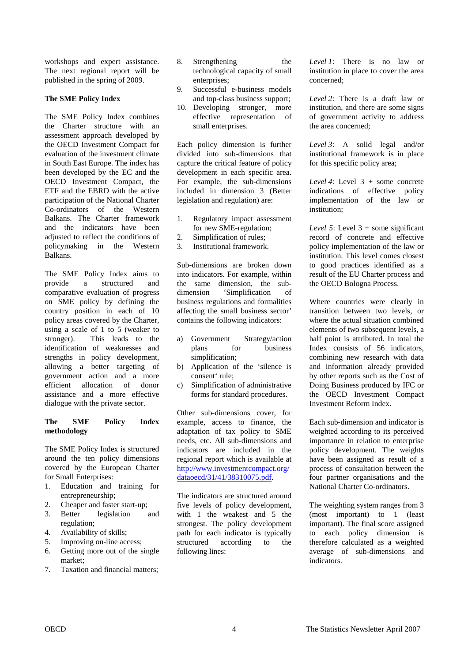workshops and expert assistance. The next regional report will be published in the spring of 2009.

### **The SME Policy Index**

The SME Policy Index combines the Charter structure with an assessment approach developed by the OECD Investment Compact for evaluation of the investment climate in South East Europe. The index has been developed by the EC and the OECD Investment Compact, the ETF and the EBRD with the active participation of the National Charter Co-ordinators of the Western Balkans. The Charter framework and the indicators have been adjusted to reflect the conditions of policymaking in the Western Balkans.

The SME Policy Index aims to provide a structured and comparative evaluation of progress on SME policy by defining the country position in each of 10 policy areas covered by the Charter, using a scale of 1 to 5 (weaker to stronger). This leads to the identification of weaknesses and strengths in policy development, allowing a better targeting of government action and a more efficient allocation of donor assistance and a more effective dialogue with the private sector.

#### **The SME Policy Index methodology**

The SME Policy Index is structured around the ten policy dimensions covered by the European Charter for Small Enterprises:

- 1. Education and training for entrepreneurship;
- 2. Cheaper and faster start-up;
- 3. Better legislation and regulation;
- 4. Availability of skills;
- 5. Improving on-line access;
- 6. Getting more out of the single market;
- 7. Taxation and financial matters;
- 8. Strengthening the technological capacity of small enterprises;
- 9. Successful e-business models and top-class business support;
- 10. Developing stronger, more effective representation of small enterprises.

Each policy dimension is further divided into sub-dimensions that capture the critical feature of policy development in each specific area. For example, the sub-dimensions included in dimension 3 (Better legislation and regulation) are:

- 1. Regulatory impact assessment for new SME-regulation;
- 2. Simplification of rules;
- 3. Institutional framework.

Sub-dimensions are broken down into indicators. For example, within the same dimension, the subdimension 'Simplification of business regulations and formalities affecting the small business sector' contains the following indicators:

- a) Government Strategy/action plans for business simplification;
- b) Application of the 'silence is consent' rule;
- c) Simplification of administrative forms for standard procedures.

Other sub-dimensions cover, for example, access to finance, the adaptation of tax policy to SME needs, etc. All sub-dimensions and indicators are included in the regional report which is available at [http://www.investmentcompact.org/](http://www.investmentcompact.org/dataoecd/31/41/38310075.pdf) dataoecd/31/41/38310075.pdf.

The indicators are structured around five levels of policy development, with 1 the weakest and 5 the strongest. The policy development path for each indicator is typically structured according to the following lines:

*Level 1*: There is no law or institution in place to cover the area concerned;

*Level 2*: There is a draft law or institution, and there are some signs of government activity to address the area concerned;

*Level 3*: A solid legal and/or institutional framework is in place for this specific policy area;

*Level 4*: Level 3 + some concrete indications of effective policy implementation of the law or institution;

*Level 5*: Level 3 + some significant record of concrete and effective policy implementation of the law or institution. This level comes closest to good practices identified as a result of the EU Charter process and the OECD Bologna Process.

Where countries were clearly in transition between two levels, or where the actual situation combined elements of two subsequent levels, a half point is attributed. In total the Index consists of 56 indicators, combining new research with data and information already provided by other reports such as the Cost of Doing Business produced by IFC or the OECD Investment Compact Investment Reform Index.

Each sub-dimension and indicator is weighted according to its perceived importance in relation to enterprise policy development. The weights have been assigned as result of a process of consultation between the four partner organisations and the National Charter Co-ordinators.

The weighting system ranges from 3 (most important) to 1 (least important). The final score assigned to each policy dimension is therefore calculated as a weighted average of sub-dimensions and indicators.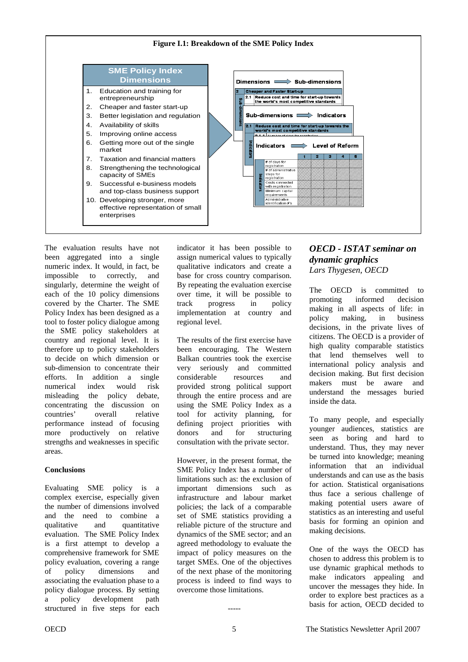<span id="page-4-0"></span>

The evaluation results have not been aggregated into a single numeric index. It would, in fact, be impossible to correctly, and singularly, determine the weight of each of the 10 policy dimensions covered by the Charter. The SME Policy Index has been designed as a tool to foster policy dialogue among the SME policy stakeholders at country and regional level. It is therefore up to policy stakeholders to decide on which dimension or sub-dimension to concentrate their efforts. In addition a single numerical index would risk misleading the policy debate, concentrating the discussion on countries' overall relative performance instead of focusing more productively on relative strengths and weaknesses in specific areas.

#### **Conclusions**

Evaluating SME policy is a complex exercise, especially given the number of dimensions involved and the need to combine a qualitative and quantitative evaluation. The SME Policy Index is a first attempt to develop a comprehensive framework for SME policy evaluation, covering a range of policy dimensions and associating the evaluation phase to a policy dialogue process. By setting a policy development path structured in five steps for each

indicator it has been possible to assign numerical values to typically qualitative indicators and create a base for cross country comparison. By repeating the evaluation exercise over time, it will be possible to track progress in policy implementation at country and regional level.

The results of the first exercise have been encouraging. The Western Balkan countries took the exercise very seriously and committed considerable resources and provided strong political support through the entire process and are using the SME Policy Index as a tool for activity planning, for defining project priorities with donors and for structuring consultation with the private sector.

However, in the present format, the SME Policy Index has a number of limitations such as: the exclusion of important dimensions such as infrastructure and labour market policies; the lack of a comparable set of SME statistics providing a reliable picture of the structure and dynamics of the SME sector; and an agreed methodology to evaluate the impact of policy measures on the target SMEs. One of the objectives of the next phase of the monitoring process is indeed to find ways to overcome those limitations.

# *OECD - ISTAT seminar on dynamic graphics Lars Thygesen, OECD*

The OECD is committed to promoting informed decision making in all aspects of life: in policy making, in business decisions, in the private lives of citizens. The OECD is a provider of high quality comparable statistics that lend themselves well to international policy analysis and decision making. But first decision makers must be aware and understand the messages buried inside the data.

To many people, and especially younger audiences, statistics are seen as boring and hard to understand. Thus, they may never be turned into knowledge; meaning information that an individual understands and can use as the basis for action. Statistical organisations thus face a serious challenge of making potential users aware of statistics as an interesting and useful basis for forming an opinion and making decisions.

One of the ways the OECD has chosen to address this problem is to use dynamic graphical methods to make indicators appealing and uncover the messages they hide. In order to explore best practices as a basis for action, OECD decided to

-----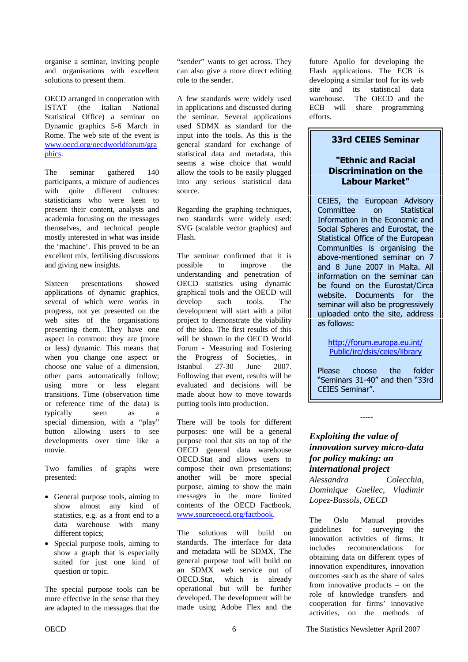<span id="page-5-0"></span>organise a seminar, inviting people and organisations with excellent solutions to present them.

OECD arranged in cooperation with ISTAT (the Italian National Statistical Office) a seminar on Dynamic graphics 5-6 March in Rome. The web site of the event is [www.oecd.org/oecdworldforum/gra](www.oecd.org/oecdworldforum/graphics) phics.

The seminar gathered 140 participants, a mixture of audiences with quite different cultures: statisticians who were keen to present their content, analysts and academia focusing on the messages themselves, and technical people mostly interested in what was inside the 'machine'. This proved to be an excellent mix, fertilising discussions and giving new insights.

Sixteen presentations showed applications of dynamic graphics, several of which were works in progress, not yet presented on the web sites of the organisations presenting them. They have one aspect in common: they are (more or less) dynamic. This means that when you change one aspect or choose one value of a dimension, other parts automatically follow; using more or less elegant transitions. Time (observation time or reference time of the data) is typically seen as a special dimension, with a "play" button allowing users to see developments over time like a movie.

Two families of graphs were presented:

- General purpose tools, aiming to show almost any kind of statistics, e.g. as a front end to a data warehouse with many different topics;
- Special purpose tools, aiming to show a graph that is especially suited for just one kind of question or topic.

The special purpose tools can be more effective in the sense that they are adapted to the messages that the "sender" wants to get across. They can also give a more direct editing role to the sender.

A few standards were widely used in applications and discussed during the seminar. Several applications used SDMX as standard for the input into the tools. As this is the general standard for exchange of statistical data and metadata, this seems a wise choice that would allow the tools to be easily plugged into any serious statistical data source.

Regarding the graphing techniques, two standards were widely used: SVG (scalable vector graphics) and Flash.

The seminar confirmed that it is possible to improve the understanding and penetration of OECD statistics using dynamic graphical tools and the OECD will develop such tools. The development will start with a pilot project to demonstrate the viability of the idea. The first results of this will be shown in the OECD World Forum - Measuring and Fostering the Progress of Societies, in Istanbul 27-30 June 2007. Following that event, results will be evaluated and decisions will be made about how to move towards putting tools into production.

There will be tools for different purposes: one will be a general purpose tool that sits on top of the OECD general data warehouse OECD.Stat and allows users to compose their own presentations; another will be more special purpose, aiming to show the main messages in the more limited contents of the OECD Factbook. www.sourceoecd.org/factbook.

The solutions will build on standards. The interface for data and metadata will be SDMX. The general purpose tool will build on an SDMX web service out of OECD.Stat, which is already operational but will be further developed. The development will be made using Adobe Flex and the

future Apollo for developing the Flash applications. The ECB is developing a similar tool for its web site and its statistical data warehouse. The OECD and the ECB will share programming efforts.

# **33rd CEIES Seminar**

# "Ethnic and Racial **Discrimination on the** Labour Market"

CEIES, the European Advisory Committee on Statistical Information in the Economic and Social Spheres and Eurostat, the Statistical Office of the European Communities is organising the above-mentioned seminar on 7 and 8 June 2007 in Malta. All information on the seminar can be found on the Eurostat/Circa website. Documents for the seminar will also be progressively uploaded onto the site, address as follows:

http://forum.europa.eu.int/ Public/irc/dsis/ceies/library

Please choose the folder "Seminars 31-40" and then "33rd CEIES Seminar".

# *Exploiting the value of innovation survey micro-data for policy making: an international project*

-----

*Alessandra Colecchia, Dominique Guellec, Vladimir Lopez-Bassols, OECD* 

The Oslo Manual provides guidelines for surveying the innovation activities of firms. It includes recommendations for obtaining data on different types of innovation expenditures, innovation outcomes -such as the share of sales from innovative products – on the role of knowledge transfers and cooperation for firms' innovative activities, on the methods of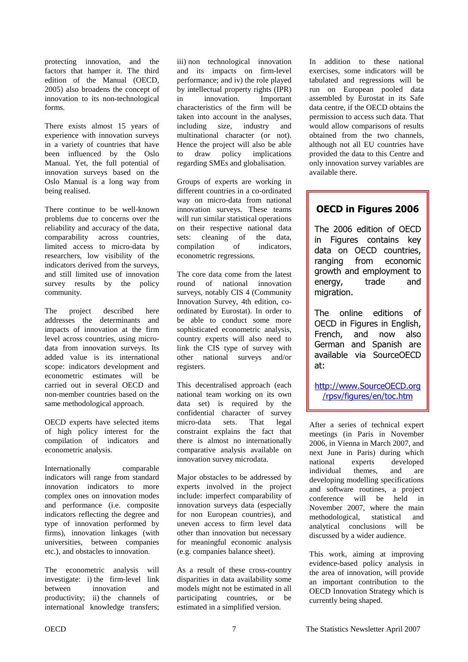protecting innovation, and the factors that hamper it. The third edition of the Manual (OECD, 2005) also broadens the concept of innovation to its non-technological forms.

There exists almost 15 years of experience with innovation surveys in a variety of countries that have been influenced by the Oslo Manual. Yet, the full potential of innovation surveys based on the Oslo Manual is a long way from being realised.

There continue to be well-known problems due to concerns over the reliability and accuracy of the data, comparability across countries, limited access to micro-data by researchers, low visibility of the indicators derived from the surveys, and still limited use of innovation survey results by the policy community.

The project described here addresses the determinants and impacts of innovation at the firm level across countries, using microdata from innovation surveys. Its added value is its international scope: indicators development and econometric estimates will be carried out in several OECD and non-member countries based on the same methodological approach.

OECD experts have selected items of high policy interest for the compilation of indicators and econometric analysis.

Internationally comparable indicators will range from standard innovation indicators to more complex ones on innovation modes and performance (i.e. composite indicators reflecting the degree and type of innovation performed by firms), innovation linkages (with universities, between companies etc.), and obstacles to innovation.

The econometric analysis will investigate: i) the firm-level link between innovation and productivity; ii) the channels of international knowledge transfers;

iii) non technological innovation and its impacts on firm-level performance; and iv) the role played by intellectual property rights (IPR) in innovation. Important characteristics of the firm will be taken into account in the analyses, including size, industry and multinational character (or not). Hence the project will also be able to draw policy implications regarding SMEs and globalisation.

Groups of experts are working in different countries in a co-ordinated way on micro-data from national innovation surveys. These teams will run similar statistical operations on their respective national data sets: cleaning of the data, compilation of indicators, econometric regressions.

The core data come from the latest round of national innovation surveys, notably CIS 4 (Community Innovation Survey, 4th edition, coordinated by Eurostat). In order to be able to conduct some more sophisticated econometric analysis, country experts will also need to link the CIS type of survey with other national surveys and/or registers.

This decentralised approach (each national team working on its own data set) is required by the confidential character of survey micro-data sets. That legal constraint explains the fact that there is almost no internationally comparative analysis available on innovation survey microdata.

Major obstacles to be addressed by experts involved in the project include: imperfect comparability of innovation surveys data (especially for non European countries), and uneven access to firm level data other than innovation but necessary for meaningful economic analysis (e.g. companies balance sheet).

As a result of these cross-country disparities in data availability some models might not be estimated in all participating countries, or be estimated in a simplified version.

In addition to these national exercises, some indicators will be tabulated and regressions will be run on European pooled data assembled by Eurostat in its Safe data centre, if the OECD obtains the permission to access such data. That would allow comparisons of results obtained from the two channels, although not all EU countries have provided the data to this Centre and only innovation survey variables are available there.

# **OECD in Figures 2006**

The 2006 edition of OECD in Figures contains key data on OECD countries, ranging from economic growth and employment to ene trade and migration.

The online editions of OECD in Figures in English, French, and now also German and Spanish are available via SourceOECD at:

http://www.SourceOECD.org <u>/rpsv/figures/en/toc.htm</u>

After a series of technical expert meetings (in Paris in November 2006, in Vienna in March 2007, and next June in Paris) during which national experts developed individual themes, and are developing modelling specifications and software routines, a project conference will be held in November 2007, where the main<br>methodological, statistical and methodological, statistical and analytical conclusions will be discussed by a wider audience.

This work, aiming at improving evidence-based policy analysis in the area of innovation, will provide an important contribution to the OECD Innovation Strategy which is currently being shaped.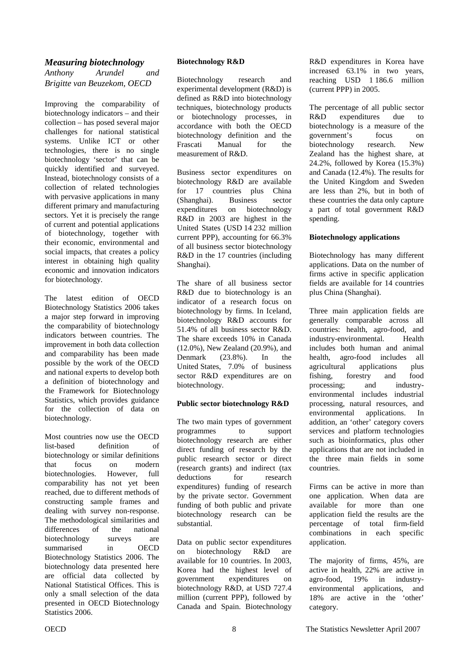# <span id="page-7-0"></span>*Measuring biotechnology*

*Anthony Arundel and Brigitte van Beuzekom, OECD* 

Improving the comparability of biotechnology indicators – and their collection – has posed several major challenges for national statistical systems. Unlike ICT or other technologies, there is no single biotechnology 'sector' that can be quickly identified and surveyed. Instead, biotechnology consists of a collection of related technologies with pervasive applications in many different primary and manufacturing sectors. Yet it is precisely the range of current and potential applications of biotechnology, together with their economic, environmental and social impacts, that creates a policy interest in obtaining high quality economic and innovation indicators for biotechnology.

The latest edition of OECD Biotechnology Statistics 2006 takes a major step forward in improving the comparability of biotechnology indicators between countries. The improvement in both data collection and comparability has been made possible by the work of the OECD and national experts to develop both a definition of biotechnology and the Framework for Biotechnology Statistics, which provides guidance for the collection of data on biotechnology.

Most countries now use the OECD list-based definition of biotechnology or similar definitions that focus on modern biotechnologies. However, full comparability has not yet been reached, due to different methods of constructing sample frames and dealing with survey non-response. The methodological similarities and differences of the national biotechnology surveys are summarised in OECD Biotechnology Statistics 2006. The biotechnology data presented here are official data collected by National Statistical Offices. This is only a small selection of the data presented in OECD Biotechnology Statistics 2006.

### **Biotechnology R&D**

Biotechnology research and experimental development (R&D) is defined as R&D into biotechnology techniques, biotechnology products or biotechnology processes, in accordance with both the OECD biotechnology definition and the Frascati Manual for the measurement of R&D.

Business sector expenditures on biotechnology R&D are available for 17 countries plus China (Shanghai). Business sector expenditures on biotechnology R&D in 2003 are highest in the United States (USD 14 232 million current PPP), accounting for 66.3% of all business sector biotechnology R&D in the 17 countries (including Shanghai).

The share of all business sector R&D due to biotechnology is an indicator of a research focus on biotechnology by firms. In Iceland, biotechnology R&D accounts for 51.4% of all business sector R&D. The share exceeds 10% in Canada (12.0%), New Zealand (20.9%), and Denmark (23.8%). In the United States, 7.0% of business sector R&D expenditures are on biotechnology.

### **Public sector biotechnology R&D**

The two main types of government programmes to support biotechnology research are either direct funding of research by the public research sector or direct (research grants) and indirect (tax deductions for research expenditures) funding of research by the private sector. Government funding of both public and private biotechnology research can be substantial.

Data on public sector expenditures on biotechnology R&D are available for 10 countries. In 2003, Korea had the highest level of government expenditures on biotechnology R&D, at USD 727.4 million (current PPP), followed by Canada and Spain. Biotechnology

R&D expenditures in Korea have increased 63.1% in two years, reaching USD 1 186.6 million (current PPP) in 2005.

The percentage of all public sector R&D expenditures due to biotechnology is a measure of the government's focus on biotechnology research. New Zealand has the highest share, at 24.2%, followed by Korea (15.3%) and Canada (12.4%). The results for the United Kingdom and Sweden are less than 2%, but in both of these countries the data only capture a part of total government R&D spending.

#### **Biotechnology applications**

Biotechnology has many different applications. Data on the number of firms active in specific application fields are available for 14 countries plus China (Shanghai).

Three main application fields are generally comparable across all countries: health, agro-food, and industry-environmental. Health includes both human and animal health, agro-food includes all agricultural applications plus fishing, forestry and food processing; and industryenvironmental includes industrial processing, natural resources, and environmental applications. In addition, an 'other' category covers services and platform technologies such as bioinformatics, plus other applications that are not included in the three main fields in some countries.

Firms can be active in more than one application. When data are available for more than one application field the results are the percentage of total firm-field combinations in each specific application.

The majority of firms, 45%, are active in health, 22% are active in agro-food, 19% in industryenvironmental applications, and 18% are active in the 'other' category.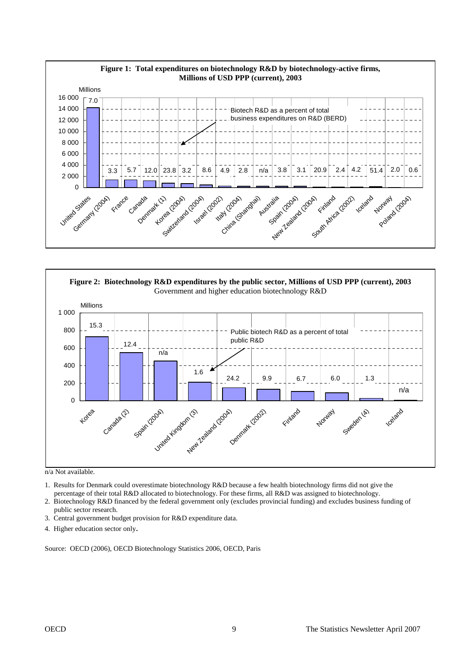



n/a Not available.

1. Results for Denmark could overestimate biotechnology R&D because a few health biotechnology firms did not give the percentage of their total R&D allocated to biotechnology. For these firms, all R&D was assigned to biotechnology.

2. Biotechnology R&D financed by the federal government only (excludes provincial funding) and excludes business funding of public sector research.

- 3. Central government budget provision for R&D expenditure data.
- 4. Higher education sector only.

Source: OECD (2006), OECD Biotechnology Statistics 2006, OECD, Paris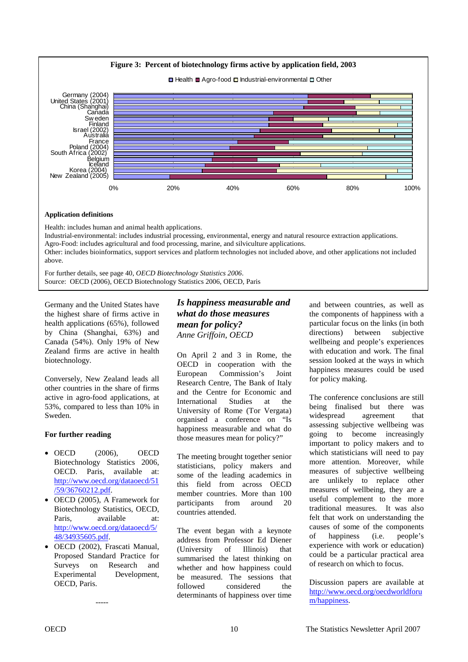<span id="page-9-0"></span>

#### **Application definitions**

Health: includes human and animal health applications. Industrial-environmental: includes industrial processing, environmental, energy and natural resource extraction applications. Agro-Food: includes agricultural and food processing, marine, and silviculture applications. Other: includes bioinformatics, support services and platform technologies not included above, and other applications not included above.

For further details, see page 40, *OECD Biotechnology Statistics 2006*. Source: OECD (2006), OECD Biotechnology Statistics 2006, OECD, Paris

Germany and the United States have the highest share of firms active in health applications (65%), followed by China (Shanghai, 63%) and Canada (54%). Only 19% of New Zealand firms are active in health biotechnology.

Conversely, New Zealand leads all other countries in the share of firms active in agro-food applications, at 53%, compared to less than 10% in Sweden.

### **For further reading**

- OECD (2006), OECD Biotechnology Statistics 2006, OECD. Paris, available at: [http://www.oecd.org/dataoecd/51](http://www.oecd.org/dataoecd/51/59/36760212.pdf) /59/36760212.pdf.
- OECD (2005), A Framework for Biotechnology Statistics, OECD, Paris, available at: [http://www.oecd.org/dataoecd/5/](http://www.oecd.org/dataoecd/5/48/34935605.pdf) 48/34935605.pdf.
- OECD (2002), Frascati Manual, Proposed Standard Practice for Surveys on Research and Experimental Development, OECD, Paris.

-----

# *Is happiness measurable and what do those measures mean for policy? Anne Griffoin, OECD*

On April 2 and 3 in Rome, the OECD in cooperation with the European Commission's Joint Research Centre, The Bank of Italy and the Centre for Economic and International Studies at the University of Rome (Tor Vergata) organised a conference on "Is happiness measurable and what do those measures mean for policy?"

The meeting brought together senior statisticians, policy makers and some of the leading academics in this field from across OECD member countries. More than 100 participants from around 20 countries attended.

The event began with a keynote address from Professor Ed Diener (University of Illinois) that summarised the latest thinking on whether and how happiness could be measured. The sessions that followed considered the determinants of happiness over time

and between countries, as well as the components of happiness with a particular focus on the links (in both directions) between subjective wellbeing and people's experiences with education and work. The final session looked at the ways in which happiness measures could be used for policy making.

The conference conclusions are still being finalised but there was widespread agreement that assessing subjective wellbeing was going to become increasingly important to policy makers and to which statisticians will need to pay more attention. Moreover, while measures of subjective wellbeing are unlikely to replace other measures of wellbeing, they are a useful complement to the more traditional measures. It was also felt that work on understanding the causes of some of the components of happiness (i.e. people's experience with work or education) could be a particular practical area of research on which to focus.

Discussion papers are available at [http://www.oecd.org/oecdworldforu](http://www.oecd.org/oecdworldforum/happiness) m/happiness.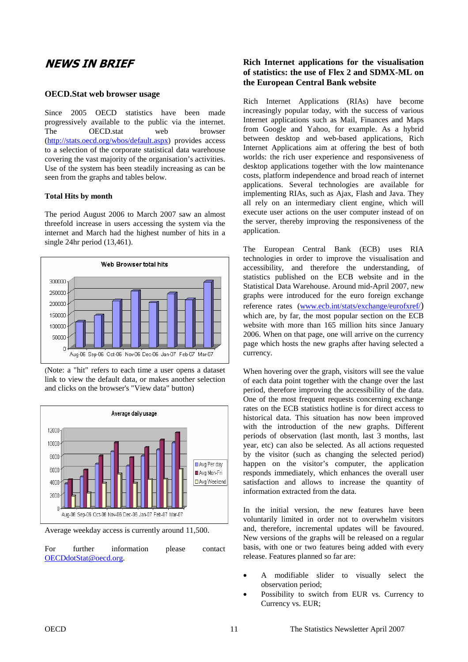# <span id="page-10-0"></span>**NEWS IN BRIEF**

#### **OECD.Stat web browser usage**

Since 2005 OECD statistics have been made progressively available to the public via the internet. The OECD.stat web browser (http://stats.oecd.org/wbos/default.aspx) provides access to a selection of the corporate statistical data warehouse covering the vast majority of the organisation's activities. Use of the system has been steadily increasing as can be seen from the graphs and tables below.

#### **Total Hits by month**

The period August 2006 to March 2007 saw an almost threefold increase in users accessing the system via the internet and March had the highest number of hits in a single 24hr period (13,461).



(Note: a "hit" refers to each time a user opens a dataset link to view the default data, or makes another selection and clicks on the browser's "View data" button)



Average weekday access is currently around 11,500.

For further information please contact OECDdotStat@oecd.org.

# **Rich Internet applications for the visualisation of statistics: the use of Flex 2 and SDMX-ML on the European Central Bank website**

Rich Internet Applications (RIAs) have become increasingly popular today, with the success of various Internet applications such as Mail, Finances and Maps from Google and Yahoo, for example. As a hybrid between desktop and web-based applications, Rich Internet Applications aim at offering the best of both worlds: the rich user experience and responsiveness of desktop applications together with the low maintenance costs, platform independence and broad reach of internet applications. Several technologies are available for implementing RIAs, such as Ajax, Flash and Java. They all rely on an intermediary client engine, which will execute user actions on the user computer instead of on the server, thereby improving the responsiveness of the application.

The European Central Bank (ECB) uses RIA technologies in order to improve the visualisation and accessibility, and therefore the understanding, of statistics published on the ECB website and in the Statistical Data Warehouse. Around mid-April 2007, new graphs were introduced for the euro foreign exchange reference rates (www.ecb.int/stats/exchange/eurofxref/) which are, by far, the most popular section on the ECB website with more than 165 million hits since January 2006. When on that page, one will arrive on the currency page which hosts the new graphs after having selected a currency.

When hovering over the graph, visitors will see the value of each data point together with the change over the last period, therefore improving the accessibility of the data. One of the most frequent requests concerning exchange rates on the ECB statistics hotline is for direct access to historical data. This situation has now been improved with the introduction of the new graphs. Different periods of observation (last month, last 3 months, last year, etc) can also be selected. As all actions requested by the visitor (such as changing the selected period) happen on the visitor's computer, the application responds immediately, which enhances the overall user satisfaction and allows to increase the quantity of information extracted from the data.

In the initial version, the new features have been voluntarily limited in order not to overwhelm visitors and, therefore, incremental updates will be favoured. New versions of the graphs will be released on a regular basis, with one or two features being added with every release. Features planned so far are:

- A modifiable slider to visually select the observation period;
- Possibility to switch from EUR vs. Currency to Currency vs. EUR;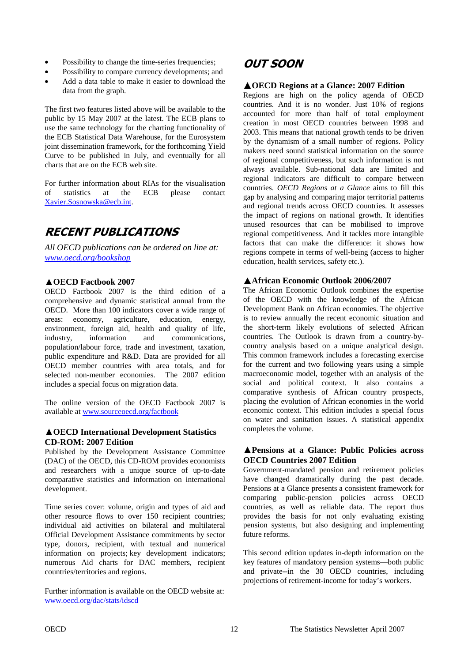- <span id="page-11-0"></span>Possibility to change the time-series frequencies;
- Possibility to compare currency developments; and
- Add a data table to make it easier to download the data from the graph.

The first two features listed above will be available to the public by 15 May 2007 at the latest. The ECB plans to use the same technology for the charting functionality of the ECB Statistical Data Warehouse, for the Eurosystem joint dissemination framework, for the forthcoming Yield Curve to be published in July, and eventually for all charts that are on the ECB web site.

For further information about RIAs for the visualisation of statistics at the ECB please contact Xavier.Sosnowska@ecb.int.

# **RECENT PUBLICATIONS**

*All OECD publications can be ordered on line at: www.oecd.org/bookshop*

# **OECD Factbook 2007**

OECD Factbook 2007 is the third edition of a comprehensive and dynamic statistical annual from the OECD. More than 100 indicators cover a wide range of areas: economy, agriculture, education, energy, environment, foreign aid, health and quality of life, industry, information and communications, population/labour force, trade and investment, taxation, public expenditure and R&D. Data are provided for all OECD member countries with area totals, and for selected non-member economies. The 2007 edition includes a special focus on migration data.

The online version of the OECD Factbook 2007 is available at www.sourceoecd.org/factbook

### **OECD International Development Statistics CD-ROM: 2007 Edition**

Published by the Development Assistance Committee (DAC) of the OECD, this CD-ROM provides economists and researchers with a unique source of up-to-date comparative statistics and information on international development.

Time series cover: volume, origin and types of aid and other resource flows to over 150 recipient countries; individual aid activities on bilateral and multilateral Official Development Assistance commitments by sector type, donors, recipient, with textual and numerical information on projects; key development indicators; numerous Aid charts for DAC members, recipient countries/territories and regions.

Further information is available on the OECD website at: www.oecd.org/dac/stats/idscd

# **OUT SOON**

# **OECD Regions at a Glance: 2007 Edition**

Regions are high on the policy agenda of OECD countries. And it is no wonder. Just 10% of regions accounted for more than half of total employment creation in most OECD countries between 1998 and 2003. This means that national growth tends to be driven by the dynamism of a small number of regions. Policy makers need sound statistical information on the source of regional competitiveness, but such information is not always available. Sub-national data are limited and regional indicators are difficult to compare between countries. *OECD Regions at a Glance* aims to fill this gap by analysing and comparing major territorial patterns and regional trends across OECD countries. It assesses the impact of regions on national growth. It identifies unused resources that can be mobilised to improve regional competitiveness. And it tackles more intangible factors that can make the difference: it shows how regions compete in terms of well-being (access to higher education, health services, safety etc.).

# **African Economic Outlook 2006/2007**

The African Economic Outlook combines the expertise of the OECD with the knowledge of the African Development Bank on African economies. The objective is to review annually the recent economic situation and the short-term likely evolutions of selected African countries. The Outlook is drawn from a country-bycountry analysis based on a unique analytical design. This common framework includes a forecasting exercise for the current and two following years using a simple macroeconomic model, together with an analysis of the social and political context. It also contains a comparative synthesis of African country prospects, placing the evolution of African economies in the world economic context. This edition includes a special focus on water and sanitation issues. A statistical appendix completes the volume.

# **Pensions at a Glance: Public Policies across OECD Countries 2007 Edition**

Government-mandated pension and retirement policies have changed dramatically during the past decade. Pensions at a Glance presents a consistent framework for comparing public-pension policies across OECD countries, as well as reliable data. The report thus provides the basis for not only evaluating existing pension systems, but also designing and implementing future reforms.

This second edition updates in-depth information on the key features of mandatory pension systems—both public and private--in the 30 OECD countries, including projections of retirement-income for today's workers.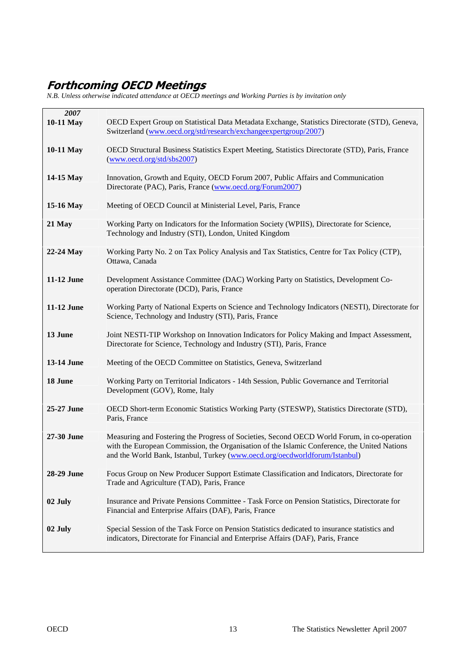# <span id="page-12-0"></span>**Forthcoming OECD Meetings**

*N.B. Unless otherwise indicated attendance at OECD meetings and Working Parties is by invitation only* 

| 2007<br>10-11 May | OECD Expert Group on Statistical Data Metadata Exchange, Statistics Directorate (STD), Geneva,<br>Switzerland (www.oecd.org/std/research/exchangeexpertgroup/2007)                                                                                                         |
|-------------------|----------------------------------------------------------------------------------------------------------------------------------------------------------------------------------------------------------------------------------------------------------------------------|
| 10-11 May         | OECD Structural Business Statistics Expert Meeting, Statistics Directorate (STD), Paris, France<br>(www.oecd.org/std/sbs2007)                                                                                                                                              |
| 14-15 May         | Innovation, Growth and Equity, OECD Forum 2007, Public Affairs and Communication<br>Directorate (PAC), Paris, France (www.oecd.org/Forum2007)                                                                                                                              |
| 15-16 May         | Meeting of OECD Council at Ministerial Level, Paris, France                                                                                                                                                                                                                |
| 21 May            | Working Party on Indicators for the Information Society (WPIIS), Directorate for Science,<br>Technology and Industry (STI), London, United Kingdom                                                                                                                         |
| 22-24 May         | Working Party No. 2 on Tax Policy Analysis and Tax Statistics, Centre for Tax Policy (CTP),<br>Ottawa, Canada                                                                                                                                                              |
| 11-12 June        | Development Assistance Committee (DAC) Working Party on Statistics, Development Co-<br>operation Directorate (DCD), Paris, France                                                                                                                                          |
| 11-12 June        | Working Party of National Experts on Science and Technology Indicators (NESTI), Directorate for<br>Science, Technology and Industry (STI), Paris, France                                                                                                                   |
| 13 June           | Joint NESTI-TIP Workshop on Innovation Indicators for Policy Making and Impact Assessment,<br>Directorate for Science, Technology and Industry (STI), Paris, France                                                                                                        |
| 13-14 June        | Meeting of the OECD Committee on Statistics, Geneva, Switzerland                                                                                                                                                                                                           |
| 18 June           | Working Party on Territorial Indicators - 14th Session, Public Governance and Territorial<br>Development (GOV), Rome, Italy                                                                                                                                                |
| 25-27 June        | OECD Short-term Economic Statistics Working Party (STESWP), Statistics Directorate (STD),<br>Paris, France                                                                                                                                                                 |
| 27-30 June        | Measuring and Fostering the Progress of Societies, Second OECD World Forum, in co-operation<br>with the European Commission, the Organisation of the Islamic Conference, the United Nations<br>and the World Bank, Istanbul, Turkey (www.oecd.org/oecdworldforum/Istanbul) |
| 28-29 June        | Focus Group on New Producer Support Estimate Classification and Indicators, Directorate for<br>Trade and Agriculture (TAD), Paris, France                                                                                                                                  |
| 02 July           | Insurance and Private Pensions Committee - Task Force on Pension Statistics, Directorate for<br>Financial and Enterprise Affairs (DAF), Paris, France                                                                                                                      |
| 02 July           | Special Session of the Task Force on Pension Statistics dedicated to insurance statistics and<br>indicators, Directorate for Financial and Enterprise Affairs (DAF), Paris, France                                                                                         |